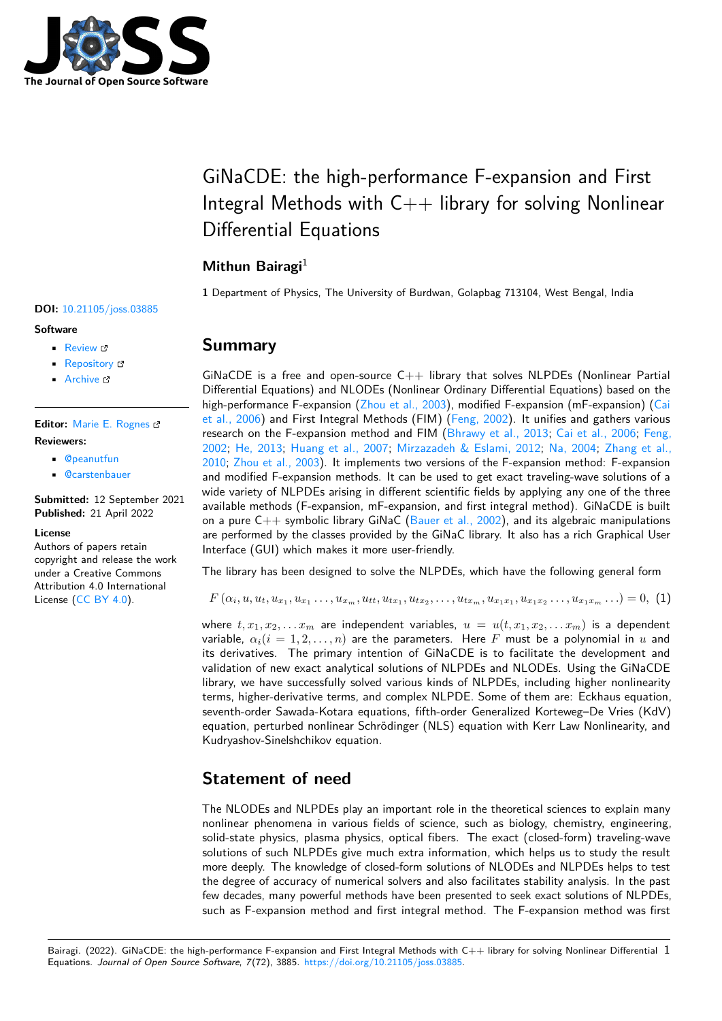

# GiNaCDE: the high-performance F-expansion and First Integral Methods with  $C++$  library for solving Nonlinear Differential Equations

### **Mithun Bairagi**<sup>1</sup>

**1** Department of Physics, The University of Burdwan, Golapbag 713104, West Bengal, India

#### **DOI:** [10.21105/joss.03885](https://doi.org/10.21105/joss.03885)

#### **Software**

- [Review](https://github.com/openjournals/joss-reviews/issues/3885) &
- [Repository](https://github.com/mithun218/GiNaCDE) &
- [Archive](https://doi.org/10.5281/zenodo.6366056)

**Editor:** [Marie E. Rognes](http://marierognes.org) **Reviewers:**

- [@peanutfun](https://github.com/peanutfun)
- [@carstenbauer](https://github.com/carstenbauer)

**Submitted:** 12 September 2021 **Published:** 21 April 2022

#### **License**

Authors of papers retain copyright and release the work under a Creative Commons Attribution 4.0 International License [\(CC BY 4.0\)](https://creativecommons.org/licenses/by/4.0/).

### **Summary**

GiNaCDE is a free and open-source  $C++$  library that solves NLPDEs (Nonlinear Partial Differential Equations) and NLODEs (Nonlinear Ordinary Differential Equations) based on the high-performance F-expansion [\(Zhou et al., 2003\)](#page-2-0), modified F-expansion (mF-expansion) [\(Cai](#page-2-1) [et al., 2006\)](#page-2-1) and First Integral Methods (FIM) [\(Feng, 2002\)](#page-2-2). It unifies and gathers various research on the F-expansion method and FIM [\(Bhrawy et al., 2013;](#page-2-3) [Cai et al., 2006;](#page-2-1) [Feng,](#page-2-2) [2002;](#page-2-2) [He, 2013;](#page-2-4) [Huang et al., 2007;](#page-2-5) [Mirzazadeh & Eslami, 2012;](#page-2-6) [Na, 2004;](#page-2-7) [Zhang et al.,](#page-2-8) [2010;](#page-2-8) [Zhou et al., 2003\)](#page-2-0). It implements two versions of the F-expansion method: F-expansion and modified F-expansion methods. It can be used to get exact traveling-wave solutions of a wide variety of NLPDEs arising in different scientific fields by applying any one of the three available methods (F-expansion, mF-expansion, and first integral method). GiNaCDE is built on a pure  $C_{++}$  symbolic library GiNaC [\(Bauer et al., 2002\)](#page-1-0), and its algebraic manipulations are performed by the classes provided by the GiNaC library. It also has a rich Graphical User Interface (GUI) which makes it more user-friendly.

The library has been designed to solve the NLPDEs, which have the following general form

 $F(\alpha_i, u, u_t, u_{x_1}, u_{x_1}, \ldots, u_{x_m}, u_{tt}, u_{tx_1}, u_{tx_2}, \ldots, u_{tx_m}, u_{x_1x_1}, u_{x_1x_2}, \ldots, u_{x_1x_m}, \ldots) = 0, (1)$ 

where  $t, x_1, x_2, \ldots x_m$  are independent variables,  $u = u(t, x_1, x_2, \ldots x_m)$  is a dependent variable,  $\alpha_i(i = 1, 2, ..., n)$  are the parameters. Here F must be a polynomial in u and its derivatives. The primary intention of GiNaCDE is to facilitate the development and validation of new exact analytical solutions of NLPDEs and NLODEs. Using the GiNaCDE library, we have successfully solved various kinds of NLPDEs, including higher nonlinearity terms, higher-derivative terms, and complex NLPDE. Some of them are: Eckhaus equation, seventh-order Sawada-Kotara equations, fifth-order Generalized Korteweg–De Vries (KdV) equation, perturbed nonlinear Schrödinger (NLS) equation with Kerr Law Nonlinearity, and Kudryashov-Sinelshchikov equation.

# **Statement of need**

The NLODEs and NLPDEs play an important role in the theoretical sciences to explain many nonlinear phenomena in various fields of science, such as biology, chemistry, engineering, solid-state physics, plasma physics, optical fibers. The exact (closed-form) traveling-wave solutions of such NLPDEs give much extra information, which helps us to study the result more deeply. The knowledge of closed-form solutions of NLODEs and NLPDEs helps to test the degree of accuracy of numerical solvers and also facilitates stability analysis. In the past few decades, many powerful methods have been presented to seek exact solutions of NLPDEs, such as F-expansion method and first integral method. The F-expansion method was first

Bairagi. (2022). GiNaCDE: the high-performance F-expansion and First Integral Methods with C++ library for solving Nonlinear Differential 1 Equations. Journal of Open Source Software, 7(72), 3885. [https://doi.org/10.21105/joss.03885.](https://doi.org/10.21105/joss.03885)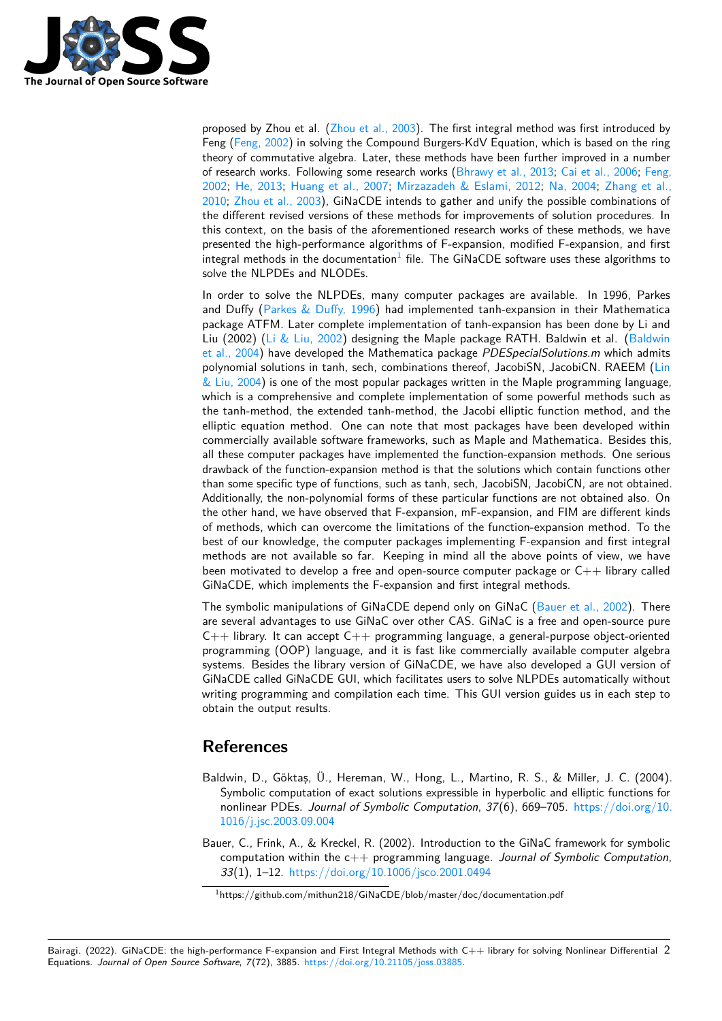

proposed by Zhou et al. [\(Zhou et al., 2003\)](#page-2-0). The first integral method was first introduced by Feng [\(Feng, 2002\)](#page-2-2) in solving the Compound Burgers-KdV Equation, which is based on the ring theory of commutative algebra. Later, these methods have been further improved in a number of research works. Following some research works [\(Bhrawy et al., 2013;](#page-2-3) [Cai et al., 2006;](#page-2-1) [Feng,](#page-2-2) [2002;](#page-2-2) [He, 2013;](#page-2-4) [Huang et al., 2007;](#page-2-5) [Mirzazadeh & Eslami, 2012;](#page-2-6) [Na, 2004;](#page-2-7) [Zhang et al.,](#page-2-8) [2010;](#page-2-8) [Zhou et al., 2003\)](#page-2-0), GiNaCDE intends to gather and unify the possible combinations of the different revised versions of these methods for improvements of solution procedures. In this context, on the basis of the aforementioned research works of these methods, we have presented the high-performance algorithms of F-expansion, modified F-expansion, and first integral methods in the documentation<sup>[1](#page-1-1)</sup> file. The GiNaCDE software uses these algorithms to solve the NLPDEs and NLODEs.

In order to solve the NLPDEs, many computer packages are available. In 1996, Parkes and Duffy [\(Parkes & Duffy, 1996\)](#page-2-9) had implemented tanh-expansion in their Mathematica package ATFM. Later complete implementation of tanh-expansion has been done by Li and Liu (2002) [\(Li & Liu, 2002\)](#page-2-10) designing the Maple package RATH. Baldwin et al. [\(Baldwin](#page-1-2) [et al., 2004\)](#page-1-2) have developed the Mathematica package PDESpecialSolutions.m which admits polynomial solutions in tanh, sech, combinations thereof, JacobiSN, JacobiCN. RAEEM [\(Lin](#page-2-11)  $\&$  Liu, 2004) is one of the most popular packages written in the Maple programming language, which is a comprehensive and complete implementation of some powerful methods such as the tanh-method, the extended tanh-method, the Jacobi elliptic function method, and the elliptic equation method. One can note that most packages have been developed within commercially available software frameworks, such as Maple and Mathematica. Besides this, all these computer packages have implemented the function-expansion methods. One serious drawback of the function-expansion method is that the solutions which contain functions other than some specific type of functions, such as tanh, sech, JacobiSN, JacobiCN, are not obtained. Additionally, the non-polynomial forms of these particular functions are not obtained also. On the other hand, we have observed that F-expansion, mF-expansion, and FIM are different kinds of methods, which can overcome the limitations of the function-expansion method. To the best of our knowledge, the computer packages implementing F-expansion and first integral methods are not available so far. Keeping in mind all the above points of view, we have been motivated to develop a free and open-source computer package or  $C_{++}$  library called GiNaCDE, which implements the F-expansion and first integral methods.

The symbolic manipulations of GiNaCDE depend only on GiNaC [\(Bauer et al., 2002\)](#page-1-0). There are several advantages to use GiNaC over other CAS. GiNaC is a free and open-source pure  $C++$  library. It can accept  $C++$  programming language, a general-purpose object-oriented programming (OOP) language, and it is fast like commercially available computer algebra systems. Besides the library version of GiNaCDE, we have also developed a GUI version of GiNaCDE called GiNaCDE GUI, which facilitates users to solve NLPDEs automatically without writing programming and compilation each time. This GUI version guides us in each step to obtain the output results.

# **References**

- <span id="page-1-2"></span>Baldwin, D., Göktaş, Ü., Hereman, W., Hong, L., Martino, R. S., & Miller, J. C. (2004). Symbolic computation of exact solutions expressible in hyperbolic and elliptic functions for nonlinear PDEs. Journal of Symbolic Computation, 37(6), 669–705. [https://doi.org/10.](https://doi.org/10.1016/j.jsc.2003.09.004) [1016/j.jsc.2003.09.004](https://doi.org/10.1016/j.jsc.2003.09.004)
- <span id="page-1-0"></span>Bauer, C., Frink, A., & Kreckel, R. (2002). Introduction to the GiNaC framework for symbolic computation within the  $c++$  programming language. Journal of Symbolic Computation, 33(1), 1–12. <https://doi.org/10.1006/jsco.2001.0494>

Bairagi. (2022). GiNaCDE: the high-performance F-expansion and First Integral Methods with C++ library for solving Nonlinear Differential 2Equations. Journal of Open Source Software, 7(72), 3885. [https://doi.org/10.21105/joss.03885.](https://doi.org/10.21105/joss.03885)

<span id="page-1-1"></span><sup>1</sup>https://github.com/mithun218/GiNaCDE/blob/master/doc/documentation.pdf